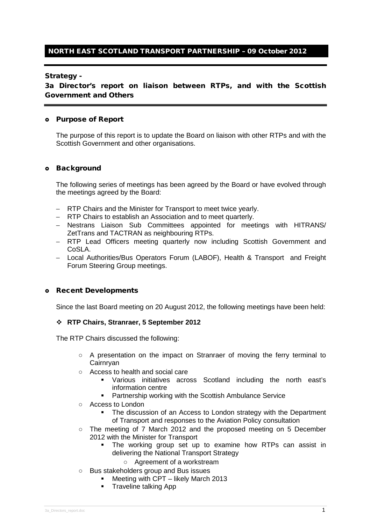# NORTH EAST SCOTLAND TRANSPORT PARTNERSHIP – 09 October 2012

#### Strategy -

3a Director's report on liaison between RTPs, and with the Scottish Government and Others

#### Purpose of Report

The purpose of this report is to update the Board on liaison with other RTPs and with the Scottish Government and other organisations.

#### o Background

The following series of meetings has been agreed by the Board or have evolved through the meetings agreed by the Board:

- − RTP Chairs and the Minister for Transport to meet twice yearly.
- − RTP Chairs to establish an Association and to meet quarterly.
- − Nestrans Liaison Sub Committees appointed for meetings with HITRANS/ ZetTrans and TACTRAN as neighbouring RTPs.
- − RTP Lead Officers meeting quarterly now including Scottish Government and CoSLA.
- − Local Authorities/Bus Operators Forum (LABOF), Health & Transport and Freight Forum Steering Group meetings.

#### Recent Developments

Since the last Board meeting on 20 August 2012, the following meetings have been held:

## **RTP Chairs, Stranraer, 5 September 2012**

The RTP Chairs discussed the following:

- A presentation on the impact on Stranraer of moving the ferry terminal to Cairnryan
- Access to health and social care
	- Various initiatives across Scotland including the north east's information centre
	- **Partnership working with the Scottish Ambulance Service**
- Access to London
	- The discussion of an Access to London strategy with the Department of Transport and responses to the Aviation Policy consultation
- The meeting of 7 March 2012 and the proposed meeting on 5 December 2012 with the Minister for Transport
	- The working group set up to examine how RTPs can assist in delivering the National Transport Strategy
		- Agreement of a workstream
- Bus stakeholders group and Bus issues
	- Meeting with CPT likely March 2013
	- **Traveline talking App**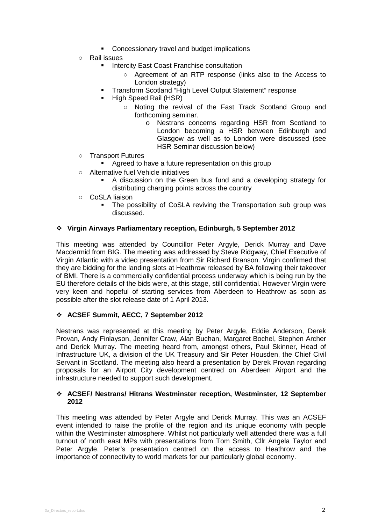- Concessionary travel and budget implications
- Rail issues
	- Intercity East Coast Franchise consultation
		- Agreement of an RTP response (links also to the Access to London strategy)
	- **Transform Scotland "High Level Output Statement" response**
	- High Speed Rail (HSR)
		- Noting the revival of the Fast Track Scotland Group and forthcoming seminar.
			- o Nestrans concerns regarding HSR from Scotland to London becoming a HSR between Edinburgh and Glasgow as well as to London were discussed (see HSR Seminar discussion below)
- Transport Futures
	- **Agreed to have a future representation on this group**
- Alternative fuel Vehicle initiatives
	- A discussion on the Green bus fund and a developing strategy for distributing charging points across the country
- CoSLA liaison
	- The possibility of CoSLA reviving the Transportation sub group was discussed.

## **Virgin Airways Parliamentary reception, Edinburgh, 5 September 2012**

This meeting was attended by Councillor Peter Argyle, Derick Murray and Dave Macdermid from BIG. The meeting was addressed by Steve Ridgway, Chief Executive of Virgin Atlantic with a video presentation from Sir Richard Branson. Virgin confirmed that they are bidding for the landing slots at Heathrow released by BA following their takeover of BMI. There is a commercially confidential process underway which is being run by the EU therefore details of the bids were, at this stage, still confidential. However Virgin were very keen and hopeful of starting services from Aberdeen to Heathrow as soon as possible after the slot release date of 1 April 2013.

## **ACSEF Summit, AECC, 7 September 2012**

Nestrans was represented at this meeting by Peter Argyle, Eddie Anderson, Derek Provan, Andy Finlayson, Jennifer Craw, Alan Buchan, Margaret Bochel, Stephen Archer and Derick Murray. The meeting heard from, amongst others, Paul Skinner, Head of Infrastructure UK, a division of the UK Treasury and Sir Peter Housden, the Chief Civil Servant in Scotland. The meeting also heard a presentation by Derek Provan regarding proposals for an Airport City development centred on Aberdeen Airport and the infrastructure needed to support such development.

## **ACSEF/ Nestrans/ Hitrans Westminster reception, Westminster, 12 September 2012**

This meeting was attended by Peter Argyle and Derick Murray. This was an ACSEF event intended to raise the profile of the region and its unique economy with people within the Westminster atmosphere. Whilst not particularly well attended there was a full turnout of north east MPs with presentations from Tom Smith, Cllr Angela Taylor and Peter Argyle. Peter's presentation centred on the access to Heathrow and the importance of connectivity to world markets for our particularly global economy.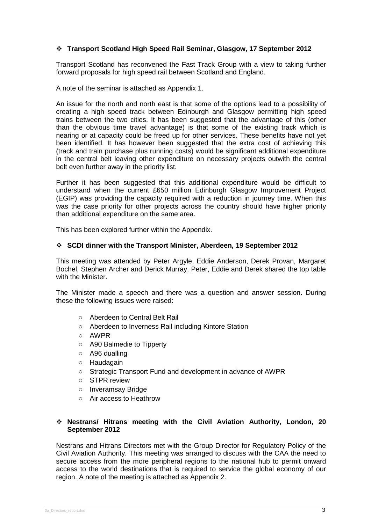## **Transport Scotland High Speed Rail Seminar, Glasgow, 17 September 2012**

Transport Scotland has reconvened the Fast Track Group with a view to taking further forward proposals for high speed rail between Scotland and England.

A note of the seminar is attached as Appendix 1.

An issue for the north and north east is that some of the options lead to a possibility of creating a high speed track between Edinburgh and Glasgow permitting high speed trains between the two cities. It has been suggested that the advantage of this (other than the obvious time travel advantage) is that some of the existing track which is nearing or at capacity could be freed up for other services. These benefits have not yet been identified. It has however been suggested that the extra cost of achieving this (track and train purchase plus running costs) would be significant additional expenditure in the central belt leaving other expenditure on necessary projects outwith the central belt even further away in the priority list.

Further it has been suggested that this additional expenditure would be difficult to understand when the current £650 million Edinburgh Glasgow Improvement Project (EGIP) was providing the capacity required with a reduction in journey time. When this was the case priority for other projects across the country should have higher priority than additional expenditure on the same area.

This has been explored further within the Appendix.

#### **SCDI dinner with the Transport Minister, Aberdeen, 19 September 2012**

This meeting was attended by Peter Argyle, Eddie Anderson, Derek Provan, Margaret Bochel, Stephen Archer and Derick Murray. Peter, Eddie and Derek shared the top table with the Minister

The Minister made a speech and there was a question and answer session. During these the following issues were raised:

- Aberdeen to Central Belt Rail
- Aberdeen to Inverness Rail including Kintore Station
- AWPR
- A90 Balmedie to Tipperty
- A96 dualling
- Haudagain
- Strategic Transport Fund and development in advance of AWPR
- STPR review
- Inveramsay Bridge
- Air access to Heathrow

## **Nestrans/ Hitrans meeting with the Civil Aviation Authority, London, 20 September 2012**

Nestrans and Hitrans Directors met with the Group Director for Regulatory Policy of the Civil Aviation Authority. This meeting was arranged to discuss with the CAA the need to secure access from the more peripheral regions to the national hub to permit onward access to the world destinations that is required to service the global economy of our region. A note of the meeting is attached as Appendix 2.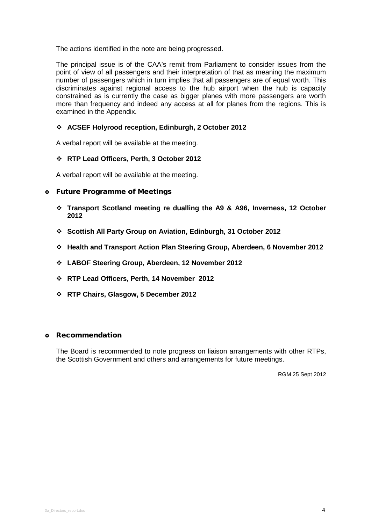The actions identified in the note are being progressed.

The principal issue is of the CAA's remit from Parliament to consider issues from the point of view of all passengers and their interpretation of that as meaning the maximum number of passengers which in turn implies that all passengers are of equal worth. This discriminates against regional access to the hub airport when the hub is capacity constrained as is currently the case as bigger planes with more passengers are worth more than frequency and indeed any access at all for planes from the regions. This is examined in the Appendix.

# **ACSEF Holyrood reception, Edinburgh, 2 October 2012**

A verbal report will be available at the meeting.

## **RTP Lead Officers, Perth, 3 October 2012**

A verbal report will be available at the meeting.

## Future Programme of Meetings

- **Transport Scotland meeting re dualling the A9 & A96, Inverness, 12 October 2012**
- **Scottish All Party Group on Aviation, Edinburgh, 31 October 2012**
- **Health and Transport Action Plan Steering Group, Aberdeen, 6 November 2012**
- **LABOF Steering Group, Aberdeen, 12 November 2012**
- **RTP Lead Officers, Perth, 14 November 2012**
- **RTP Chairs, Glasgow, 5 December 2012**

## Recommendation

The Board is recommended to note progress on liaison arrangements with other RTPs, the Scottish Government and others and arrangements for future meetings.

RGM 25 Sept 2012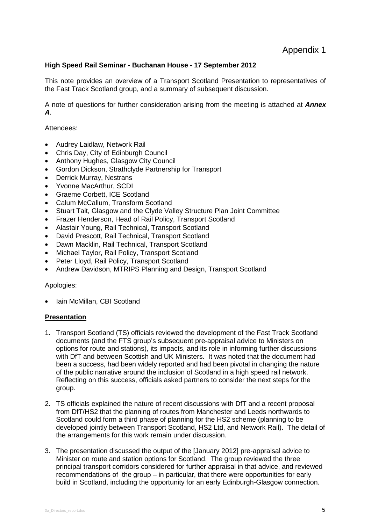# **High Speed Rail Seminar - Buchanan House - 17 September 2012**

This note provides an overview of a Transport Scotland Presentation to representatives of the Fast Track Scotland group, and a summary of subsequent discussion.

A note of questions for further consideration arising from the meeting is attached at *Annex A*.

#### Attendees:

- Audrey Laidlaw, Network Rail
- Chris Day, City of Edinburgh Council
- Anthony Hughes, Glasgow City Council
- Gordon Dickson, Strathclyde Partnership for Transport
- Derrick Murray, Nestrans
- Yvonne MacArthur, SCDI
- Graeme Corbett, ICE Scotland
- Calum McCallum, Transform Scotland
- Stuart Tait, Glasgow and the Clyde Valley Structure Plan Joint Committee
- Frazer Henderson, Head of Rail Policy, Transport Scotland
- Alastair Young, Rail Technical, Transport Scotland
- David Prescott, Rail Technical, Transport Scotland
- Dawn Macklin, Rail Technical, Transport Scotland
- Michael Taylor, Rail Policy, Transport Scotland
- Peter Lloyd, Rail Policy, Transport Scotland
- Andrew Davidson, MTRIPS Planning and Design, Transport Scotland

## Apologies:

• Iain McMillan, CBI Scotland

## **Presentation**

- 1. Transport Scotland (TS) officials reviewed the development of the Fast Track Scotland documents (and the FTS group's subsequent pre-appraisal advice to Ministers on options for route and stations), its impacts, and its role in informing further discussions with DfT and between Scottish and UK Ministers. It was noted that the document had been a success, had been widely reported and had been pivotal in changing the nature of the public narrative around the inclusion of Scotland in a high speed rail network. Reflecting on this success, officials asked partners to consider the next steps for the group.
- 2. TS officials explained the nature of recent discussions with DfT and a recent proposal from DfT/HS2 that the planning of routes from Manchester and Leeds northwards to Scotland could form a third phase of planning for the HS2 scheme (planning to be developed jointly between Transport Scotland, HS2 Ltd, and Network Rail). The detail of the arrangements for this work remain under discussion.
- 3. The presentation discussed the output of the [January 2012] pre-appraisal advice to Minister on route and station options for Scotland. The group reviewed the three principal transport corridors considered for further appraisal in that advice, and reviewed recommendations of the group – in particular, that there were opportunities for early build in Scotland, including the opportunity for an early Edinburgh-Glasgow connection.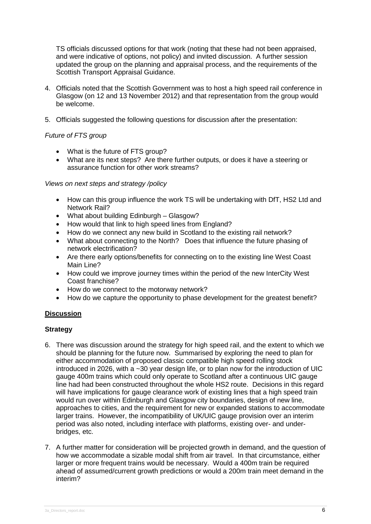TS officials discussed options for that work (noting that these had not been appraised, and were indicative of options, not policy) and invited discussion. A further session updated the group on the planning and appraisal process, and the requirements of the Scottish Transport Appraisal Guidance.

- 4. Officials noted that the Scottish Government was to host a high speed rail conference in Glasgow (on 12 and 13 November 2012) and that representation from the group would be welcome.
- 5. Officials suggested the following questions for discussion after the presentation:

# *Future of FTS group*

- What is the future of FTS group?
- What are its next steps? Are there further outputs, or does it have a steering or assurance function for other work streams?

#### *Views on next steps and strategy /policy*

- How can this group influence the work TS will be undertaking with DfT, HS2 Ltd and Network Rail?
- What about building Edinburgh Glasgow?
- How would that link to high speed lines from England?
- How do we connect any new build in Scotland to the existing rail network?
- What about connecting to the North? Does that influence the future phasing of network electrification?
- Are there early options/benefits for connecting on to the existing line West Coast Main Line?
- How could we improve journey times within the period of the new InterCity West Coast franchise?
- How do we connect to the motorway network?
- How do we capture the opportunity to phase development for the greatest benefit?

## **Discussion**

## **Strategy**

- 6. There was discussion around the strategy for high speed rail, and the extent to which we should be planning for the future now. Summarised by exploring the need to plan for either accommodation of proposed classic compatible high speed rolling stock introduced in 2026, with a ~30 year design life, or to plan now for the introduction of UIC gauge 400m trains which could only operate to Scotland after a continuous UIC gauge line had had been constructed throughout the whole HS2 route. Decisions in this regard will have implications for gauge clearance work of existing lines that a high speed train would run over within Edinburgh and Glasgow city boundaries, design of new line, approaches to cities, and the requirement for new or expanded stations to accommodate larger trains. However, the incompatibility of UK/UIC gauge provision over an interim period was also noted, including interface with platforms, existing over- and underbridges, etc.
- 7. A further matter for consideration will be projected growth in demand, and the question of how we accommodate a sizable modal shift from air travel. In that circumstance, either larger or more frequent trains would be necessary. Would a 400m train be required ahead of assumed/current growth predictions or would a 200m train meet demand in the interim?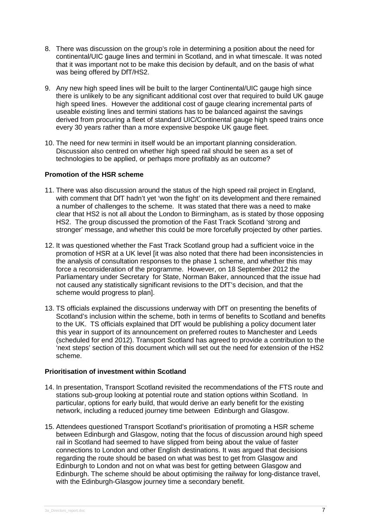- 8. There was discussion on the group's role in determining a position about the need for continental/UIC gauge lines and termini in Scotland, and in what timescale. It was noted that it was important not to be make this decision by default, and on the basis of what was being offered by DfT/HS2.
- 9. Any new high speed lines will be built to the larger Continental/UIC gauge high since there is unlikely to be any significant additional cost over that required to build UK gauge high speed lines. However the additional cost of gauge clearing incremental parts of useable existing lines and termini stations has to be balanced against the savings derived from procuring a fleet of standard UIC/Continental gauge high speed trains once every 30 years rather than a more expensive bespoke UK gauge fleet.
- 10. The need for new termini in itself would be an important planning consideration. Discussion also centred on whether high speed rail should be seen as a set of technologies to be applied, or perhaps more profitably as an outcome?

## **Promotion of the HSR scheme**

- 11. There was also discussion around the status of the high speed rail project in England, with comment that DfT hadn't yet 'won the fight' on its development and there remained a number of challenges to the scheme. It was stated that there was a need to make clear that HS2 is not all about the London to Birmingham, as is stated by those opposing HS2. The group discussed the promotion of the Fast Track Scotland 'strong and stronger' message, and whether this could be more forcefully projected by other parties.
- 12. It was questioned whether the Fast Track Scotland group had a sufficient voice in the promotion of HSR at a UK level [it was also noted that there had been inconsistencies in the analysis of consultation responses to the phase 1 scheme, and whether this may force a reconsideration of the programme. However, on 18 September 2012 the Parliamentary under Secretary for State, Norman Baker, announced that the issue had not caused any statistically significant revisions to the DfT's decision, and that the scheme would progress to plan].
- 13. TS officials explained the discussions underway with DfT on presenting the benefits of Scotland's inclusion within the scheme, both in terms of benefits to Scotland and benefits to the UK. TS officials explained that DfT would be publishing a policy document later this year in support of its announcement on preferred routes to Manchester and Leeds (scheduled for end 2012). Transport Scotland has agreed to provide a contribution to the 'next steps' section of this document which will set out the need for extension of the HS2 scheme.

## **Prioritisation of investment within Scotland**

- 14. In presentation, Transport Scotland revisited the recommendations of the FTS route and stations sub-group looking at potential route and station options within Scotland. In particular, options for early build, that would derive an early benefit for the existing network, including a reduced journey time between Edinburgh and Glasgow.
- 15. Attendees questioned Transport Scotland's prioritisation of promoting a HSR scheme between Edinburgh and Glasgow, noting that the focus of discussion around high speed rail in Scotland had seemed to have slipped from being about the value of faster connections to London and other English destinations. It was argued that decisions regarding the route should be based on what was best to get from Glasgow and Edinburgh to London and not on what was best for getting between Glasgow and Edinburgh. The scheme should be about optimising the railway for long-distance travel, with the Edinburgh-Glasgow journey time a secondary benefit.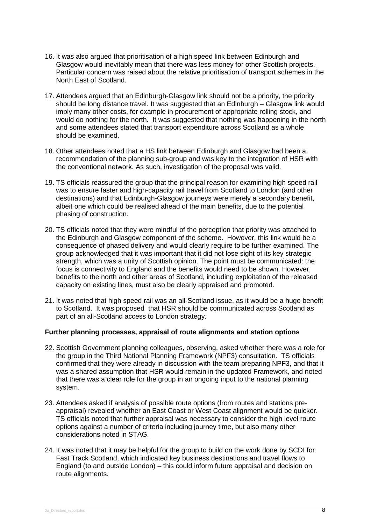- 16. It was also argued that prioritisation of a high speed link between Edinburgh and Glasgow would inevitably mean that there was less money for other Scottish projects. Particular concern was raised about the relative prioritisation of transport schemes in the North East of Scotland.
- 17. Attendees argued that an Edinburgh-Glasgow link should not be a priority, the priority should be long distance travel. It was suggested that an Edinburgh – Glasgow link would imply many other costs, for example in procurement of appropriate rolling stock, and would do nothing for the north. It was suggested that nothing was happening in the north and some attendees stated that transport expenditure across Scotland as a whole should be examined.
- 18. Other attendees noted that a HS link between Edinburgh and Glasgow had been a recommendation of the planning sub-group and was key to the integration of HSR with the conventional network. As such, investigation of the proposal was valid.
- 19. TS officials reassured the group that the principal reason for examining high speed rail was to ensure faster and high-capacity rail travel from Scotland to London (and other destinations) and that Edinburgh-Glasgow journeys were merely a secondary benefit, albeit one which could be realised ahead of the main benefits, due to the potential phasing of construction.
- 20. TS officials noted that they were mindful of the perception that priority was attached to the Edinburgh and Glasgow component of the scheme. However, this link would be a consequence of phased delivery and would clearly require to be further examined. The group acknowledged that it was important that it did not lose sight of its key strategic strength, which was a unity of Scottish opinion. The point must be communicated: the focus is connectivity to England and the benefits would need to be shown. However, benefits to the north and other areas of Scotland, including exploitation of the released capacity on existing lines, must also be clearly appraised and promoted.
- 21. It was noted that high speed rail was an all-Scotland issue, as it would be a huge benefit to Scotland. It was proposed that HSR should be communicated across Scotland as part of an all-Scotland access to London strategy.

## **Further planning processes, appraisal of route alignments and station options**

- 22. Scottish Government planning colleagues, observing, asked whether there was a role for the group in the Third National Planning Framework (NPF3) consultation. TS officials confirmed that they were already in discussion with the team preparing NPF3, and that it was a shared assumption that HSR would remain in the updated Framework, and noted that there was a clear role for the group in an ongoing input to the national planning system.
- 23. Attendees asked if analysis of possible route options (from routes and stations preappraisal) revealed whether an East Coast or West Coast alignment would be quicker. TS officials noted that further appraisal was necessary to consider the high level route options against a number of criteria including journey time, but also many other considerations noted in STAG.
- 24. It was noted that it may be helpful for the group to build on the work done by SCDI for Fast Track Scotland, which indicated key business destinations and travel flows to England (to and outside London) – this could inform future appraisal and decision on route alignments.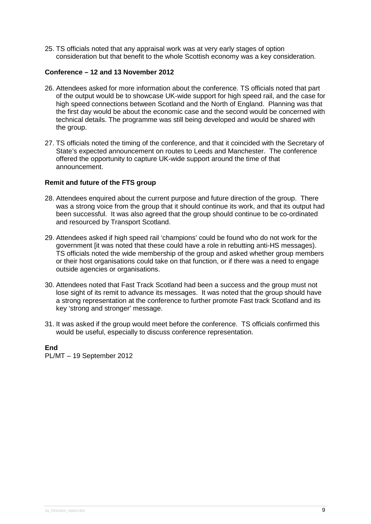25. TS officials noted that any appraisal work was at very early stages of option consideration but that benefit to the whole Scottish economy was a key consideration.

#### **Conference – 12 and 13 November 2012**

- 26. Attendees asked for more information about the conference. TS officials noted that part of the output would be to showcase UK-wide support for high speed rail, and the case for high speed connections between Scotland and the North of England. Planning was that the first day would be about the economic case and the second would be concerned with technical details. The programme was still being developed and would be shared with the group.
- 27. TS officials noted the timing of the conference, and that it coincided with the Secretary of State's expected announcement on routes to Leeds and Manchester. The conference offered the opportunity to capture UK-wide support around the time of that announcement.

#### **Remit and future of the FTS group**

- 28. Attendees enquired about the current purpose and future direction of the group. There was a strong voice from the group that it should continue its work, and that its output had been successful. It was also agreed that the group should continue to be co-ordinated and resourced by Transport Scotland.
- 29. Attendees asked if high speed rail 'champions' could be found who do not work for the government [it was noted that these could have a role in rebutting anti-HS messages). TS officials noted the wide membership of the group and asked whether group members or their host organisations could take on that function, or if there was a need to engage outside agencies or organisations.
- 30. Attendees noted that Fast Track Scotland had been a success and the group must not lose sight of its remit to advance its messages. It was noted that the group should have a strong representation at the conference to further promote Fast track Scotland and its key 'strong and stronger' message.
- 31. It was asked if the group would meet before the conference. TS officials confirmed this would be useful, especially to discuss conference representation.

**End** PL/MT – 19 September 2012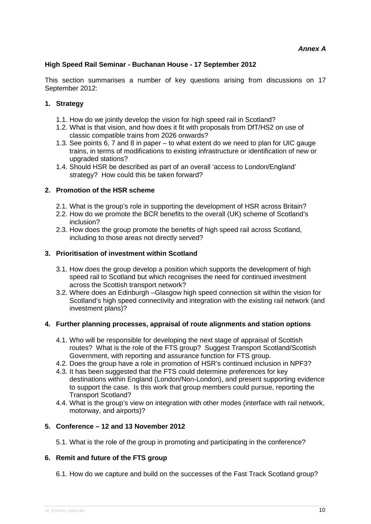# **High Speed Rail Seminar - Buchanan House - 17 September 2012**

This section summarises a number of key questions arising from discussions on 17 September 2012:

# **1. Strategy**

- 1.1. How do we jointly develop the vision for high speed rail in Scotland?
- 1.2. What is that vision, and how does it fit with proposals from DfT/HS2 on use of classic compatible trains from 2026 onwards?
- 1.3. See points 6, 7 and 8 in paper to what extent do we need to plan for UIC gauge trains, in terms of modifications to existing infrastructure or identification of new or upgraded stations?
- 1.4. Should HSR be described as part of an overall 'access to London/England' strategy? How could this be taken forward?

## **2. Promotion of the HSR scheme**

- 2.1. What is the group's role in supporting the development of HSR across Britain?
- 2.2. How do we promote the BCR benefits to the overall (UK) scheme of Scotland's inclusion?
- 2.3. How does the group promote the benefits of high speed rail across Scotland, including to those areas not directly served?

## **3. Prioritisation of investment within Scotland**

- 3.1. How does the group develop a position which supports the development of high speed rail to Scotland but which recognises the need for continued investment across the Scottish transport network?
- 3.2. Where does an Edinburgh –Glasgow high speed connection sit within the vision for Scotland's high speed connectivity and integration with the existing rail network (and investment plans)?

## **4. Further planning processes, appraisal of route alignments and station options**

- 4.1. Who will be responsible for developing the next stage of appraisal of Scottish routes? What is the role of the FTS group? Suggest Transport Scotland/Scottish Government, with reporting and assurance function for FTS group.
- 4.2. Does the group have a role in promotion of HSR's continued inclusion in NPF3?
- 4.3. It has been suggested that the FTS could determine preferences for key destinations within England (London/Non-London), and present supporting evidence to support the case. Is this work that group members could pursue, reporting the Transport Scotland?
- 4.4. What is the group's view on integration with other modes (interface with rail network, motorway, and airports)?

# **5. Conference – 12 and 13 November 2012**

5.1. What is the role of the group in promoting and participating in the conference?

## **6. Remit and future of the FTS group**

6.1. How do we capture and build on the successes of the Fast Track Scotland group?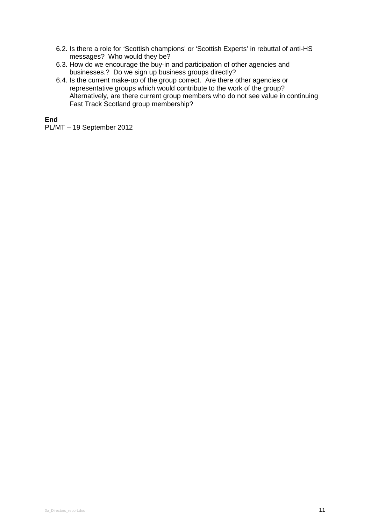- 6.2. Is there a role for 'Scottish champions' or 'Scottish Experts' in rebuttal of anti-HS messages? Who would they be?
- 6.3. How do we encourage the buy-in and participation of other agencies and businesses.? Do we sign up business groups directly?
- 6.4. Is the current make-up of the group correct. Are there other agencies or representative groups which would contribute to the work of the group? Alternatively, are there current group members who do not see value in continuing Fast Track Scotland group membership?

# **End**

PL/MT – 19 September 2012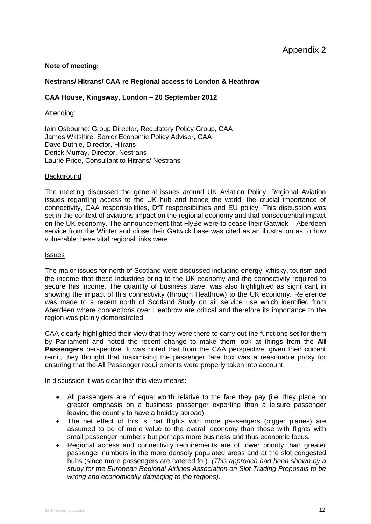## **Note of meeting:**

#### **Nestrans/ Hitrans/ CAA re Regional access to London & Heathrow**

#### **CAA House, Kingsway, London – 20 September 2012**

Attending:

Iain Osbourne: Group Director, Regulatory Policy Group, CAA James Wiltshire: Senior Economic Policy Adviser, CAA Dave Duthie, Director, Hitrans Derick Murray, Director, Nestrans Laurie Price, Consultant to Hitrans/ Nestrans

#### **Background**

The meeting discussed the general issues around UK Aviation Policy, Regional Aviation issues regarding access to the UK hub and hence the world, the crucial importance of connectivity, CAA responsibilities, DfT responsibilities and EU policy. This discussion was set in the context of aviations impact on the regional economy and that consequential impact on the UK economy. The announcement that FlyBe were to cease their Gatwick – Aberdeen service from the Winter and close their Gatwick base was cited as an illustration as to how vulnerable these vital regional links were.

#### **Issues**

The major issues for north of Scotland were discussed including energy, whisky, tourism and the income that these industries bring to the UK economy and the connectivity required to secure this income. The quantity of business travel was also highlighted as significant in showing the impact of this connectivity (through Heathrow) to the UK economy. Reference was made to a recent north of Scotland Study on air service use which identified from Aberdeen where connections over Heathrow are critical and therefore its importance to the region was plainly demonstrated.

CAA clearly highlighted their view that they were there to carry out the functions set for them by Parliament and noted the recent change to make them look at things from the **All Passengers** perspective. It was noted that from the CAA perspective, given their current remit, they thought that maximising the passenger fare box was a reasonable proxy for ensuring that the All Passenger requirements were properly taken into account.

In discussion it was clear that this view means:

- All passengers are of equal worth relative to the fare they pay (i.e. they place no greater emphasis on a business passenger exporting than a leisure passenger leaving the country to have a holiday abroad)
- The net effect of this is that flights with more passengers (bigger planes) are assumed to be of more value to the overall economy than those with flights with small passenger numbers but perhaps more business and thus economic focus.
- Regional access and connectivity requirements are of lower priority than greater passenger numbers in the more densely populated areas and at the slot congested hubs (since more passengers are catered for). *(This approach had been shown by a study for the European Regional Airlines Association on Slot Trading Proposals to be wrong and economically damaging to the regions).*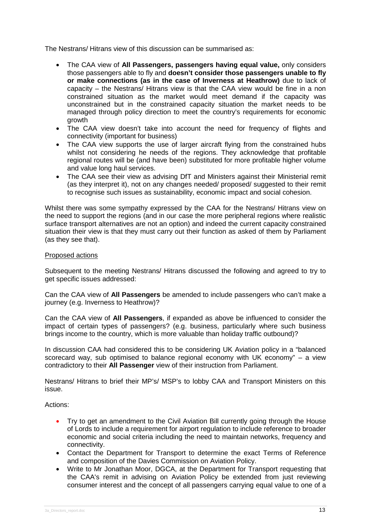The Nestrans/ Hitrans view of this discussion can be summarised as:

- The CAA view of **All Passengers, passengers having equal value,** only considers those passengers able to fly and **doesn't consider those passengers unable to fly or make connections (as in the case of Inverness at Heathrow)** due to lack of capacity – the Nestrans/ Hitrans view is that the CAA view would be fine in a non constrained situation as the market would meet demand if the capacity was unconstrained but in the constrained capacity situation the market needs to be managed through policy direction to meet the country's requirements for economic growth
- The CAA view doesn't take into account the need for frequency of flights and connectivity (important for business)
- The CAA view supports the use of larger aircraft flying from the constrained hubs whilst not considering he needs of the regions. They acknowledge that profitable regional routes will be (and have been) substituted for more profitable higher volume and value long haul services.
- The CAA see their view as advising DfT and Ministers against their Ministerial remit (as they interpret it), not on any changes needed/ proposed/ suggested to their remit to recognise such issues as sustainability, economic impact and social cohesion.

Whilst there was some sympathy expressed by the CAA for the Nestrans/ Hitrans view on the need to support the regions (and in our case the more peripheral regions where realistic surface transport alternatives are not an option) and indeed the current capacity constrained situation their view is that they must carry out their function as asked of them by Parliament (as they see that).

#### Proposed actions

Subsequent to the meeting Nestrans/ Hitrans discussed the following and agreed to try to get specific issues addressed:

Can the CAA view of **All Passengers** be amended to include passengers who can't make a journey (e.g. Inverness to Heathrow)?

Can the CAA view of **All Passengers**, if expanded as above be influenced to consider the impact of certain types of passengers? (e.g. business, particularly where such business brings income to the country, which is more valuable than holiday traffic outbound)?

In discussion CAA had considered this to be considering UK Aviation policy in a "balanced scorecard way, sub optimised to balance regional economy with UK economy" – a view contradictory to their **All Passenger** view of their instruction from Parliament.

Nestrans/ Hitrans to brief their MP's/ MSP's to lobby CAA and Transport Ministers on this issue.

#### Actions:

- Try to get an amendment to the Civil Aviation Bill currently going through the House of Lords to include a requirement for airport regulation to include reference to broader economic and social criteria including the need to maintain networks, frequency and connectivity.
- Contact the Department for Transport to determine the exact Terms of Reference and composition of the Davies Commission on Aviation Policy.
- Write to Mr Jonathan Moor, DGCA, at the Department for Transport requesting that the CAA's remit in advising on Aviation Policy be extended from just reviewing consumer interest and the concept of all passengers carrying equal value to one of a